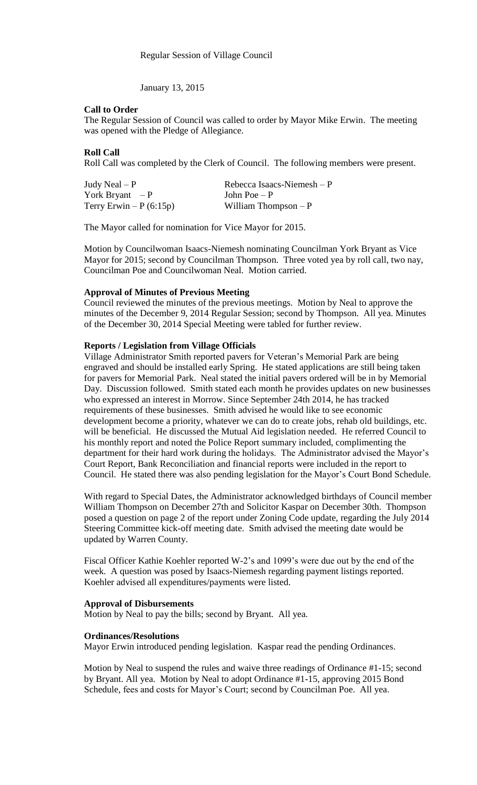January 13, 2015

## **Call to Order**

The Regular Session of Council was called to order by Mayor Mike Erwin. The meeting was opened with the Pledge of Allegiance.

# **Roll Call**

Roll Call was completed by the Clerk of Council. The following members were present.

| Judy Neal $-P$          | Rebecca Isaacs-Niemesh $-P$ |
|-------------------------|-----------------------------|
| York Bryant $-P$        | John Poe $-P$               |
| Terry Erwin $-P(6:15p)$ | William Thompson $-P$       |

The Mayor called for nomination for Vice Mayor for 2015.

Motion by Councilwoman Isaacs-Niemesh nominating Councilman York Bryant as Vice Mayor for 2015; second by Councilman Thompson. Three voted yea by roll call, two nay, Councilman Poe and Councilwoman Neal. Motion carried.

## **Approval of Minutes of Previous Meeting**

Council reviewed the minutes of the previous meetings. Motion by Neal to approve the minutes of the December 9, 2014 Regular Session; second by Thompson. All yea. Minutes of the December 30, 2014 Special Meeting were tabled for further review.

# **Reports / Legislation from Village Officials**

Village Administrator Smith reported pavers for Veteran's Memorial Park are being engraved and should be installed early Spring. He stated applications are still being taken for pavers for Memorial Park. Neal stated the initial pavers ordered will be in by Memorial Day. Discussion followed. Smith stated each month he provides updates on new businesses who expressed an interest in Morrow. Since September 24th 2014, he has tracked requirements of these businesses. Smith advised he would like to see economic development become a priority, whatever we can do to create jobs, rehab old buildings, etc. will be beneficial. He discussed the Mutual Aid legislation needed. He referred Council to his monthly report and noted the Police Report summary included, complimenting the department for their hard work during the holidays. The Administrator advised the Mayor's Court Report, Bank Reconciliation and financial reports were included in the report to Council. He stated there was also pending legislation for the Mayor's Court Bond Schedule.

With regard to Special Dates, the Administrator acknowledged birthdays of Council member William Thompson on December 27th and Solicitor Kaspar on December 30th. Thompson posed a question on page 2 of the report under Zoning Code update, regarding the July 2014 Steering Committee kick-off meeting date. Smith advised the meeting date would be updated by Warren County.

Fiscal Officer Kathie Koehler reported W-2's and 1099's were due out by the end of the week. A question was posed by Isaacs-Niemesh regarding payment listings reported. Koehler advised all expenditures/payments were listed.

#### **Approval of Disbursements**

Motion by Neal to pay the bills; second by Bryant. All yea.

#### **Ordinances/Resolutions**

Mayor Erwin introduced pending legislation. Kaspar read the pending Ordinances.

Motion by Neal to suspend the rules and waive three readings of Ordinance #1-15; second by Bryant. All yea. Motion by Neal to adopt Ordinance #1-15, approving 2015 Bond Schedule, fees and costs for Mayor's Court; second by Councilman Poe. All yea.